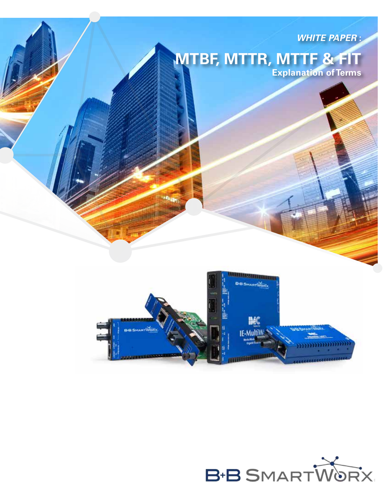

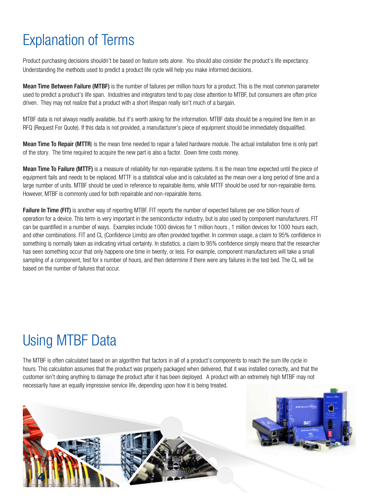## Explanation of Terms

Product purchasing decisions shouldn't be based on feature sets alone. You should also consider the product's life expectancy. Understanding the methods used to predict a product life cycle will help you make informed decisions.

Mean Time Between Failure (MTBF) is the number of failures per million hours for a product. This is the most common parameter used to predict a product's life span. Industries and integrators tend to pay close attention to MTBF, but consumers are often price driven. They may not realize that a product with a short lifespan really isn't much of a bargain.

MTBF data is not always readily available, but it's worth asking for the information. MTBF data should be a required line item in an RFQ (Request For Quote). If this data is not provided, a manufacturer's piece of equipment should be immediately disqualified.

Mean Time To Repair (MTTR) is the mean time needed to repair a failed hardware module. The actual installation time is only part of the story. The time required to acquire the new part is also a factor. Down time costs money.

Mean Time To Failure (MTTF) is a measure of reliability for non-repairable systems. It is the mean time expected until the piece of equipment fails and needs to be replaced. MTTF is a statistical value and is calculated as the mean over a long period of time and a large number of units. MTBF should be used in reference to repairable items, while MTTF should be used for non-repairable items. However, MTBF is commonly used for both repairable and non-repairable items.

Failure In Time (FIT) is another way of reporting MTBF. FIT reports the number of expected failures per one billion hours of operation for a device. This term is very important in the semiconductor industry, but is also used by component manufacturers. FIT can be quantified in a number of ways. Examples include 1000 devices for 1 million hours , 1 million devices for 1000 hours each, and other combinations. FIT and CL (Confidence Limits) are often provided together. In common usage, a claim to 95% confidence in something is normally taken as indicating virtual certainty. In statistics, a claim to 95% confidence simply means that the researcher has seen something occur that only happens one time in twenty, or less. For example, component manufacturers will take a small sampling of a component, test for x number of hours, and then determine if there were any failures in the test bed. The CL will be based on the number of failures that occur.

## Using MTBF Data

**4**

The MTBF is often calculated based on an algorithm that factors in all of a product's components to reach the sum life cycle in hours. This calculation assumes that the product was properly packaged when delivered, that it was installed correctly, and that the customer isn't doing anything to damage the product after it has been deployed. A product with an extremely high MTBF may not necessarily have an equally impressive service life, depending upon how it is being treated.

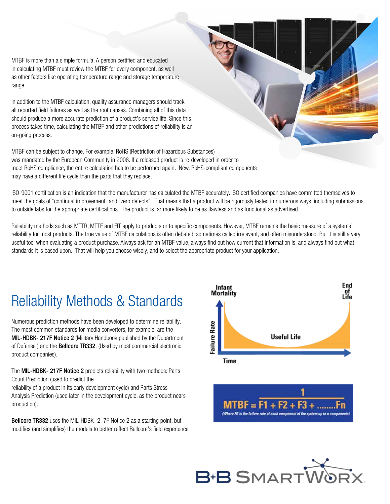MTBF is more than a simple formula. A person certified and educated in calculating MTBF must review the MTBF for every component, as well as other factors like operating temperature range and storage temperature range.

In addition to the MTBF calculation, quality assurance managers should track all reported field failures as well as the root causes. Combining all of this data should produce a more accurate prediction of a product's service life. Since this process takes time, calculating the MTBF and other predictions of reliability is an on-going process.

MTBF can be subject to change. For example, RoHS (Restriction of Hazardous Substances) was mandated by the European Community in 2006. If a released product is re-developed in order to meet RoHS compliance, the entire calculation has to be performed again. New, RoHS-compliant components may have a different life cycle than the parts that they replace.

ISO-9001 certification is an indication that the manufacturer has calculated the MTBF accurately. ISO certified companies have committed themselves to meet the goals of "continual improvement" and "zero defects". That means that a product will be rigorously tested in numerous ways, including submissions to outside labs for the appropriate certifications. The product is far more likely to be as flawless and as functional as advertised.

Reliability methods such as MTTR, MTTF and FIT apply to products or to specific components. However, MTBF remains the basic measure of a systems' reliability for most products. The true value of MTBF calculations is often debated, sometimes called irrelevant, and often misunderstood. But it is still a very useful tool when evaluating a product purchase. Always ask for an MTBF value, always find out how current that information is, and always find out what standards it is based upon. That will help you choose wisely, and to select the appropriate product for your application.

## Reliability Methods & Standards

Numerous prediction methods have been developed to determine reliability. The most common standards for media converters, for example, are the MIL-HDBK- 217F Notice 2 (Military Handbook published by the Department of Defense) and the **Bellcore TR332**, (Used by most commercial electronic product companies).

The MIL-HDBK- 217F Notice 2 predicts reliability with two methods: Parts Count Prediction (used to predict the

reliability of a product in its early development cycle) and Parts Stress Analysis Prediction (used later in the development cycle, as the product nears production).

Bellcore TR332 uses the MIL-HDBK- 217F Notice 2 as a starting point, but modifies (and simplifies) the models to better reflect Bellcore's field experience





Where FR is the failure rate of each comp